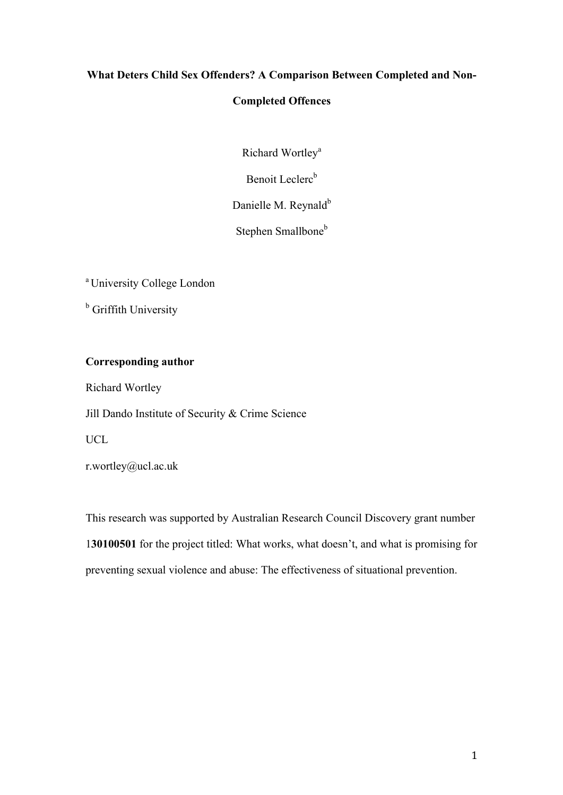# **What Deters Child Sex Offenders? A Comparison Between Completed and Non-**

# **Completed Offences**

Richard Wortley<sup>a</sup>

Benoit Leclerc<sup>b</sup>

Danielle M. Reynald<sup>b</sup>

Stephen Smallbone<sup>b</sup>

a University College London

**b** Griffith University

# **Corresponding author**

Richard Wortley

Jill Dando Institute of Security & Crime Science

UCL

r.wortley@ucl.ac.uk

This research was supported by Australian Research Council Discovery grant number 1**30100501** for the project titled: What works, what doesn't, and what is promising for preventing sexual violence and abuse: The effectiveness of situational prevention.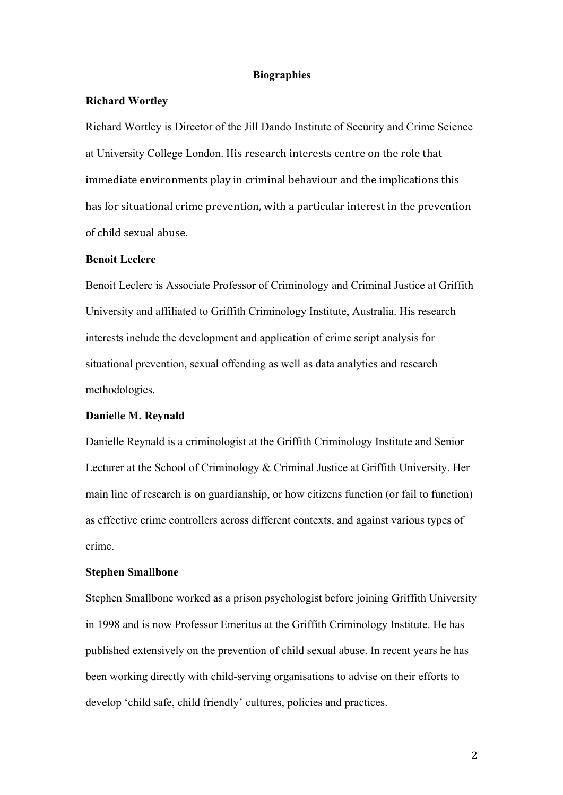#### **Biographies**

#### **Richard Wortley**

Richard Wortley is Director of the Jill Dando Institute of Security and Crime Science at University College London. His research interests centre on the role that immediate environments play in criminal behaviour and the implications this has for situational crime prevention, with a particular interest in the prevention of child sexual abuse.

#### **Benoit Leclerc**

Benoit Leclerc is Associate Professor of Criminology and Criminal Justice at Griffith University and affiliated to Griffith Criminology Institute, Australia. His research interests include the development and application of crime script analysis for situational prevention, sexual offending as well as data analytics and research methodologies.

#### **Danielle M. Reynald**

Danielle Reynald is a criminologist at the Griffith Criminology Institute and Senior Lecturer at the School of Criminology & Criminal Justice at Griffith University. Her main line of research is on guardianship, or how citizens function (or fail to function) as effective crime controllers across different contexts, and against various types of crime.

## **Stephen Smallbone**

Stephen Smallbone worked as a prison psychologist before joining Griffith University in 1998 and is now Professor Emeritus at the Griffith Criminology Institute. He has published extensively on the prevention of child sexual abuse. In recent years he has been working directly with child-serving organisations to advise on their efforts to develop 'child safe, child friendly' cultures, policies and practices.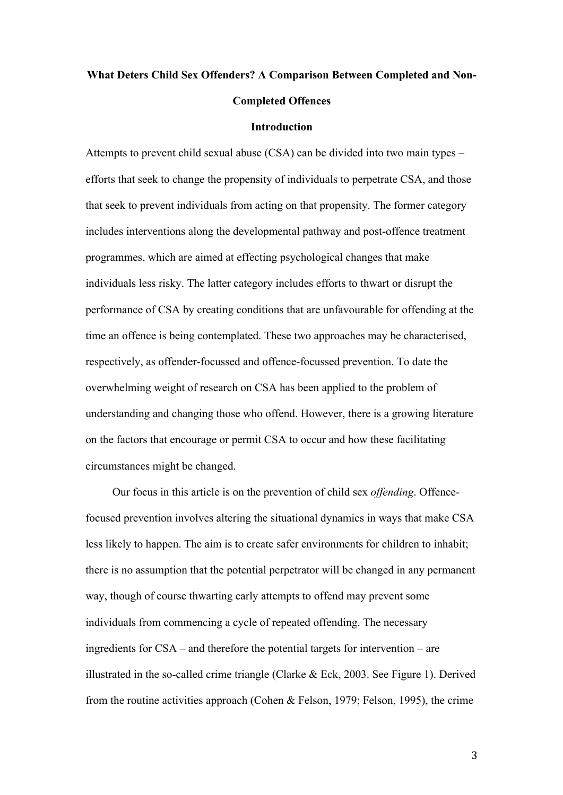# **What Deters Child Sex Offenders? A Comparison Between Completed and Non-Completed Offences**

#### **Introduction**

Attempts to prevent child sexual abuse (CSA) can be divided into two main types – efforts that seek to change the propensity of individuals to perpetrate CSA, and those that seek to prevent individuals from acting on that propensity. The former category includes interventions along the developmental pathway and post-offence treatment programmes, which are aimed at effecting psychological changes that make individuals less risky. The latter category includes efforts to thwart or disrupt the performance of CSA by creating conditions that are unfavourable for offending at the time an offence is being contemplated. These two approaches may be characterised, respectively, as offender-focussed and offence-focussed prevention. To date the overwhelming weight of research on CSA has been applied to the problem of understanding and changing those who offend. However, there is a growing literature on the factors that encourage or permit CSA to occur and how these facilitating circumstances might be changed.

Our focus in this article is on the prevention of child sex *offending*. Offencefocused prevention involves altering the situational dynamics in ways that make CSA less likely to happen. The aim is to create safer environments for children to inhabit; there is no assumption that the potential perpetrator will be changed in any permanent way, though of course thwarting early attempts to offend may prevent some individuals from commencing a cycle of repeated offending. The necessary ingredients for CSA – and therefore the potential targets for intervention – are illustrated in the so-called crime triangle (Clarke & Eck, 2003. See Figure 1). Derived from the routine activities approach (Cohen & Felson, 1979; Felson, 1995), the crime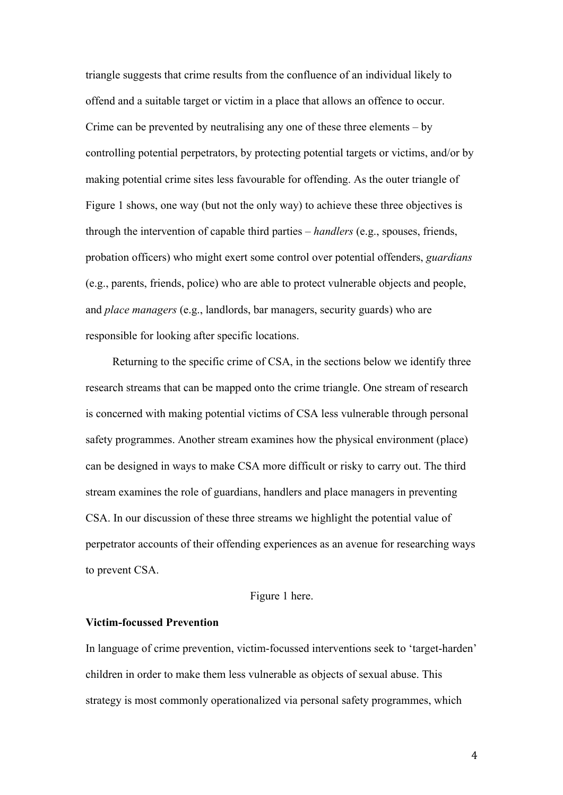triangle suggests that crime results from the confluence of an individual likely to offend and a suitable target or victim in a place that allows an offence to occur. Crime can be prevented by neutralising any one of these three elements – by controlling potential perpetrators, by protecting potential targets or victims, and/or by making potential crime sites less favourable for offending. As the outer triangle of Figure 1 shows, one way (but not the only way) to achieve these three objectives is through the intervention of capable third parties – *handlers* (e.g., spouses, friends, probation officers) who might exert some control over potential offenders, *guardians* (e.g., parents, friends, police) who are able to protect vulnerable objects and people, and *place managers* (e.g., landlords, bar managers, security guards) who are responsible for looking after specific locations.

Returning to the specific crime of CSA, in the sections below we identify three research streams that can be mapped onto the crime triangle. One stream of research is concerned with making potential victims of CSA less vulnerable through personal safety programmes. Another stream examines how the physical environment (place) can be designed in ways to make CSA more difficult or risky to carry out. The third stream examines the role of guardians, handlers and place managers in preventing CSA. In our discussion of these three streams we highlight the potential value of perpetrator accounts of their offending experiences as an avenue for researching ways to prevent CSA.

#### Figure 1 here.

## **Victim-focussed Prevention**

In language of crime prevention, victim-focussed interventions seek to 'target-harden' children in order to make them less vulnerable as objects of sexual abuse. This strategy is most commonly operationalized via personal safety programmes, which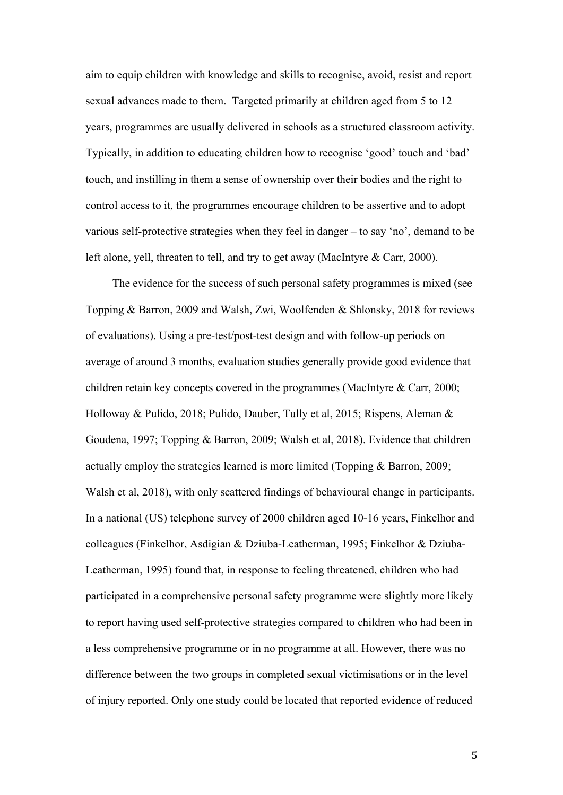aim to equip children with knowledge and skills to recognise, avoid, resist and report sexual advances made to them. Targeted primarily at children aged from 5 to 12 years, programmes are usually delivered in schools as a structured classroom activity. Typically, in addition to educating children how to recognise 'good' touch and 'bad' touch, and instilling in them a sense of ownership over their bodies and the right to control access to it, the programmes encourage children to be assertive and to adopt various self-protective strategies when they feel in danger – to say 'no', demand to be left alone, yell, threaten to tell, and try to get away (MacIntyre & Carr, 2000).

The evidence for the success of such personal safety programmes is mixed (see Topping & Barron, 2009 and Walsh, Zwi, Woolfenden & Shlonsky, 2018 for reviews of evaluations). Using a pre-test/post-test design and with follow-up periods on average of around 3 months, evaluation studies generally provide good evidence that children retain key concepts covered in the programmes (MacIntyre & Carr, 2000; Holloway & Pulido, 2018; Pulido, Dauber, Tully et al, 2015; Rispens, Aleman & Goudena, 1997; Topping & Barron, 2009; Walsh et al, 2018). Evidence that children actually employ the strategies learned is more limited (Topping & Barron, 2009; Walsh et al, 2018), with only scattered findings of behavioural change in participants. In a national (US) telephone survey of 2000 children aged 10-16 years, Finkelhor and colleagues (Finkelhor, Asdigian & Dziuba-Leatherman, 1995; Finkelhor & Dziuba-Leatherman, 1995) found that, in response to feeling threatened, children who had participated in a comprehensive personal safety programme were slightly more likely to report having used self-protective strategies compared to children who had been in a less comprehensive programme or in no programme at all. However, there was no difference between the two groups in completed sexual victimisations or in the level of injury reported. Only one study could be located that reported evidence of reduced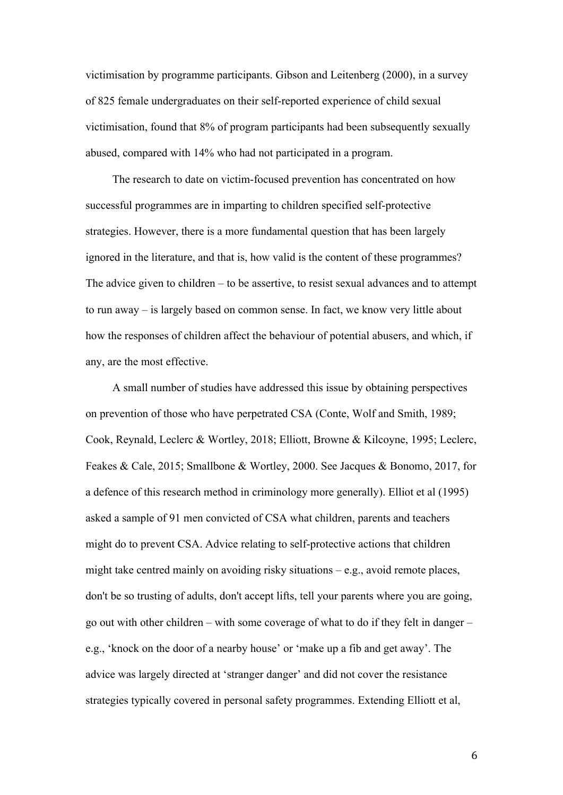victimisation by programme participants. Gibson and Leitenberg (2000), in a survey of 825 female undergraduates on their self-reported experience of child sexual victimisation, found that 8% of program participants had been subsequently sexually abused, compared with 14% who had not participated in a program.

The research to date on victim-focused prevention has concentrated on how successful programmes are in imparting to children specified self-protective strategies. However, there is a more fundamental question that has been largely ignored in the literature, and that is, how valid is the content of these programmes? The advice given to children – to be assertive, to resist sexual advances and to attempt to run away – is largely based on common sense. In fact, we know very little about how the responses of children affect the behaviour of potential abusers, and which, if any, are the most effective.

A small number of studies have addressed this issue by obtaining perspectives on prevention of those who have perpetrated CSA (Conte, Wolf and Smith, 1989; Cook, Reynald, Leclerc & Wortley, 2018; Elliott, Browne & Kilcoyne, 1995; Leclerc, Feakes & Cale, 2015; Smallbone & Wortley, 2000. See Jacques & Bonomo, 2017, for a defence of this research method in criminology more generally). Elliot et al (1995) asked a sample of 91 men convicted of CSA what children, parents and teachers might do to prevent CSA. Advice relating to self-protective actions that children might take centred mainly on avoiding risky situations – e.g., avoid remote places, don't be so trusting of adults, don't accept lifts, tell your parents where you are going, go out with other children – with some coverage of what to do if they felt in danger – e.g., 'knock on the door of a nearby house' or 'make up a fib and get away'. The advice was largely directed at 'stranger danger' and did not cover the resistance strategies typically covered in personal safety programmes. Extending Elliott et al,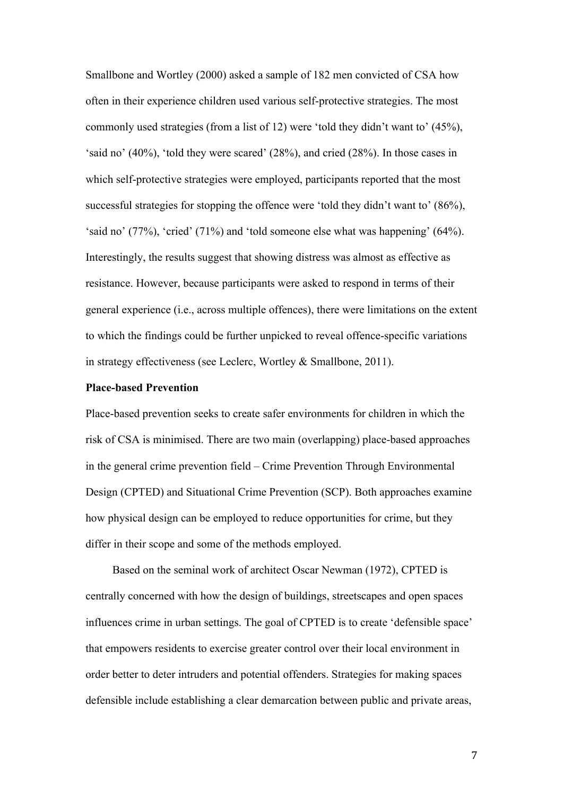Smallbone and Wortley (2000) asked a sample of 182 men convicted of CSA how often in their experience children used various self-protective strategies. The most commonly used strategies (from a list of 12) were 'told they didn't want to' (45%), 'said no' (40%), 'told they were scared' (28%), and cried (28%). In those cases in which self-protective strategies were employed, participants reported that the most successful strategies for stopping the offence were 'told they didn't want to' (86%), 'said no' (77%), 'cried' (71%) and 'told someone else what was happening' (64%). Interestingly, the results suggest that showing distress was almost as effective as resistance. However, because participants were asked to respond in terms of their general experience (i.e., across multiple offences), there were limitations on the extent to which the findings could be further unpicked to reveal offence-specific variations in strategy effectiveness (see Leclerc, Wortley & Smallbone, 2011).

# **Place-based Prevention**

Place-based prevention seeks to create safer environments for children in which the risk of CSA is minimised. There are two main (overlapping) place-based approaches in the general crime prevention field – Crime Prevention Through Environmental Design (CPTED) and Situational Crime Prevention (SCP). Both approaches examine how physical design can be employed to reduce opportunities for crime, but they differ in their scope and some of the methods employed.

Based on the seminal work of architect Oscar Newman (1972), CPTED is centrally concerned with how the design of buildings, streetscapes and open spaces influences crime in urban settings. The goal of CPTED is to create 'defensible space' that empowers residents to exercise greater control over their local environment in order better to deter intruders and potential offenders. Strategies for making spaces defensible include establishing a clear demarcation between public and private areas,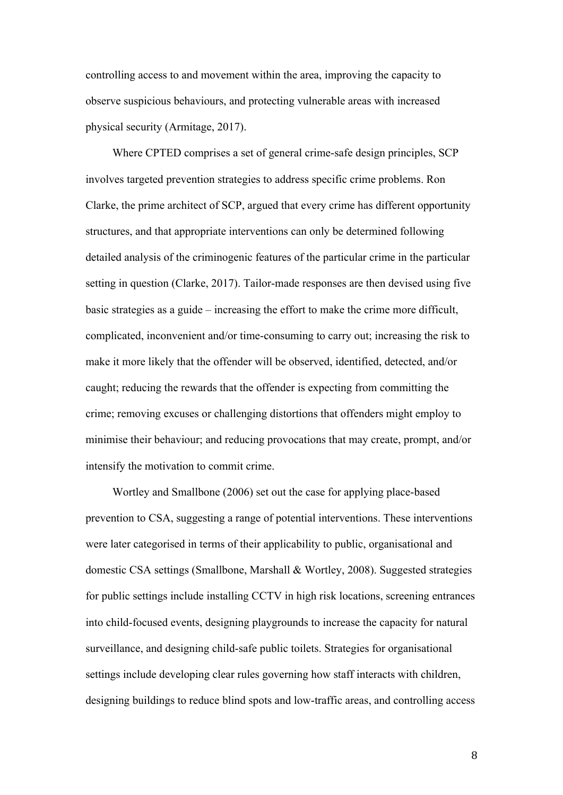controlling access to and movement within the area, improving the capacity to observe suspicious behaviours, and protecting vulnerable areas with increased physical security (Armitage, 2017).

Where CPTED comprises a set of general crime-safe design principles, SCP involves targeted prevention strategies to address specific crime problems. Ron Clarke, the prime architect of SCP, argued that every crime has different opportunity structures, and that appropriate interventions can only be determined following detailed analysis of the criminogenic features of the particular crime in the particular setting in question (Clarke, 2017). Tailor-made responses are then devised using five basic strategies as a guide – increasing the effort to make the crime more difficult, complicated, inconvenient and/or time-consuming to carry out; increasing the risk to make it more likely that the offender will be observed, identified, detected, and/or caught; reducing the rewards that the offender is expecting from committing the crime; removing excuses or challenging distortions that offenders might employ to minimise their behaviour; and reducing provocations that may create, prompt, and/or intensify the motivation to commit crime.

Wortley and Smallbone (2006) set out the case for applying place-based prevention to CSA, suggesting a range of potential interventions. These interventions were later categorised in terms of their applicability to public, organisational and domestic CSA settings (Smallbone, Marshall & Wortley, 2008). Suggested strategies for public settings include installing CCTV in high risk locations, screening entrances into child-focused events, designing playgrounds to increase the capacity for natural surveillance, and designing child-safe public toilets. Strategies for organisational settings include developing clear rules governing how staff interacts with children, designing buildings to reduce blind spots and low-traffic areas, and controlling access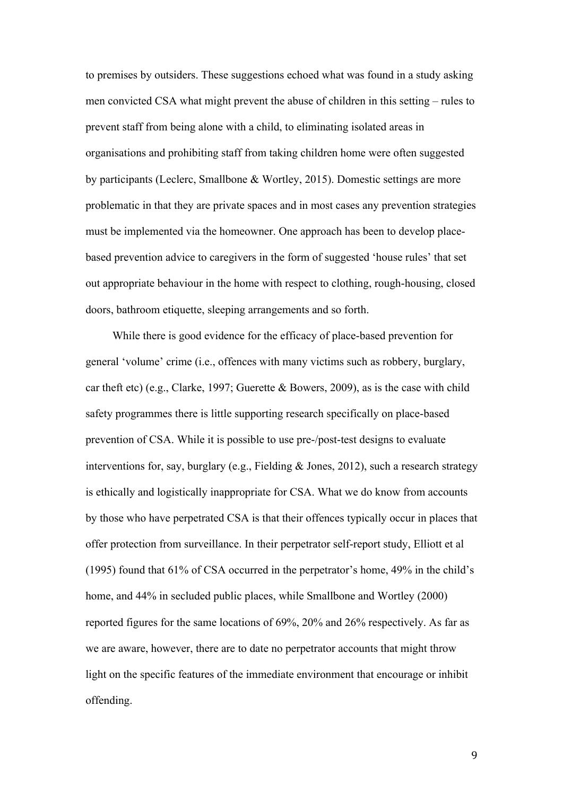to premises by outsiders. These suggestions echoed what was found in a study asking men convicted CSA what might prevent the abuse of children in this setting – rules to prevent staff from being alone with a child, to eliminating isolated areas in organisations and prohibiting staff from taking children home were often suggested by participants (Leclerc, Smallbone & Wortley, 2015). Domestic settings are more problematic in that they are private spaces and in most cases any prevention strategies must be implemented via the homeowner. One approach has been to develop placebased prevention advice to caregivers in the form of suggested 'house rules' that set out appropriate behaviour in the home with respect to clothing, rough-housing, closed doors, bathroom etiquette, sleeping arrangements and so forth.

While there is good evidence for the efficacy of place-based prevention for general 'volume' crime (i.e., offences with many victims such as robbery, burglary, car theft etc) (e.g., Clarke, 1997; Guerette & Bowers, 2009), as is the case with child safety programmes there is little supporting research specifically on place-based prevention of CSA. While it is possible to use pre-/post-test designs to evaluate interventions for, say, burglary (e.g., Fielding & Jones, 2012), such a research strategy is ethically and logistically inappropriate for CSA. What we do know from accounts by those who have perpetrated CSA is that their offences typically occur in places that offer protection from surveillance. In their perpetrator self-report study, Elliott et al (1995) found that 61% of CSA occurred in the perpetrator's home, 49% in the child's home, and 44% in secluded public places, while Smallbone and Wortley (2000) reported figures for the same locations of 69%, 20% and 26% respectively. As far as we are aware, however, there are to date no perpetrator accounts that might throw light on the specific features of the immediate environment that encourage or inhibit offending.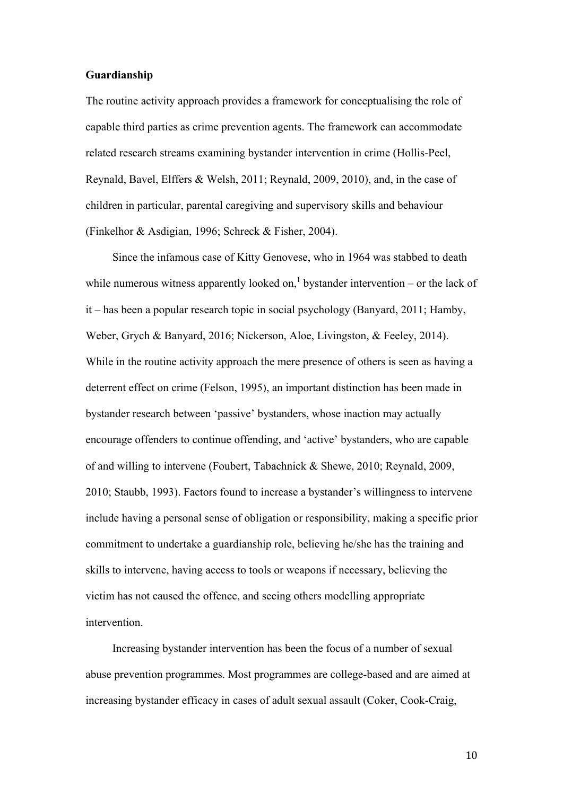#### **Guardianship**

The routine activity approach provides a framework for conceptualising the role of capable third parties as crime prevention agents. The framework can accommodate related research streams examining bystander intervention in crime (Hollis-Peel, Reynald, Bavel, Elffers & Welsh, 2011; Reynald, 2009, 2010), and, in the case of children in particular, parental caregiving and supervisory skills and behaviour (Finkelhor & Asdigian, 1996; Schreck & Fisher, 2004).

Since the infamous case of Kitty Genovese, who in 1964 was stabbed to death while numerous witness apparently looked on,<sup>1</sup> bystander intervention – or the lack of it – has been a popular research topic in social psychology (Banyard, 2011; Hamby, Weber, Grych & Banyard, 2016; Nickerson, Aloe, Livingston, & Feeley, 2014). While in the routine activity approach the mere presence of others is seen as having a deterrent effect on crime (Felson, 1995), an important distinction has been made in bystander research between 'passive' bystanders, whose inaction may actually encourage offenders to continue offending, and 'active' bystanders, who are capable of and willing to intervene (Foubert, Tabachnick & Shewe, 2010; Reynald, 2009, 2010; Staubb, 1993). Factors found to increase a bystander's willingness to intervene include having a personal sense of obligation or responsibility, making a specific prior commitment to undertake a guardianship role, believing he/she has the training and skills to intervene, having access to tools or weapons if necessary, believing the victim has not caused the offence, and seeing others modelling appropriate intervention.

Increasing bystander intervention has been the focus of a number of sexual abuse prevention programmes. Most programmes are college-based and are aimed at increasing bystander efficacy in cases of adult sexual assault (Coker, Cook-Craig,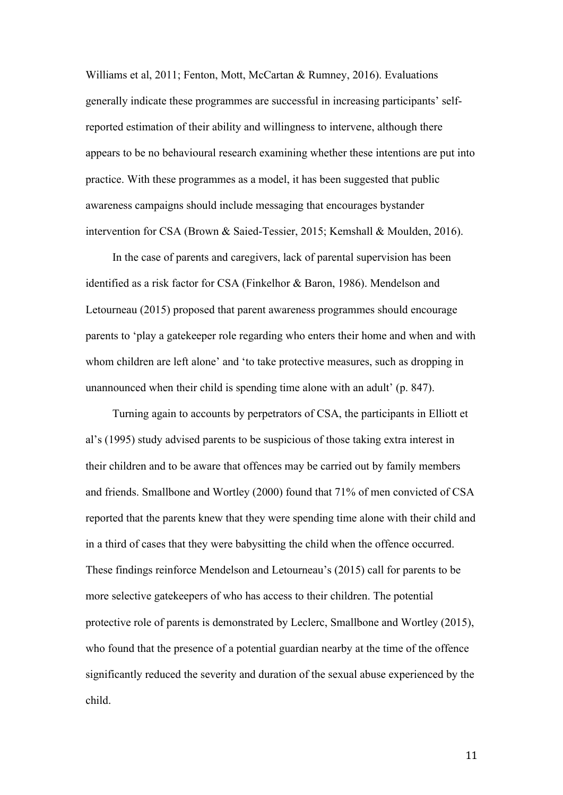Williams et al, 2011; Fenton, Mott, McCartan & Rumney, 2016). Evaluations generally indicate these programmes are successful in increasing participants' selfreported estimation of their ability and willingness to intervene, although there appears to be no behavioural research examining whether these intentions are put into practice. With these programmes as a model, it has been suggested that public awareness campaigns should include messaging that encourages bystander intervention for CSA (Brown & Saied-Tessier, 2015; Kemshall & Moulden, 2016).

In the case of parents and caregivers, lack of parental supervision has been identified as a risk factor for CSA (Finkelhor & Baron, 1986). Mendelson and Letourneau (2015) proposed that parent awareness programmes should encourage parents to 'play a gatekeeper role regarding who enters their home and when and with whom children are left alone' and 'to take protective measures, such as dropping in unannounced when their child is spending time alone with an adult' (p. 847).

Turning again to accounts by perpetrators of CSA, the participants in Elliott et al's (1995) study advised parents to be suspicious of those taking extra interest in their children and to be aware that offences may be carried out by family members and friends. Smallbone and Wortley (2000) found that 71% of men convicted of CSA reported that the parents knew that they were spending time alone with their child and in a third of cases that they were babysitting the child when the offence occurred. These findings reinforce Mendelson and Letourneau's (2015) call for parents to be more selective gatekeepers of who has access to their children. The potential protective role of parents is demonstrated by Leclerc, Smallbone and Wortley (2015), who found that the presence of a potential guardian nearby at the time of the offence significantly reduced the severity and duration of the sexual abuse experienced by the child.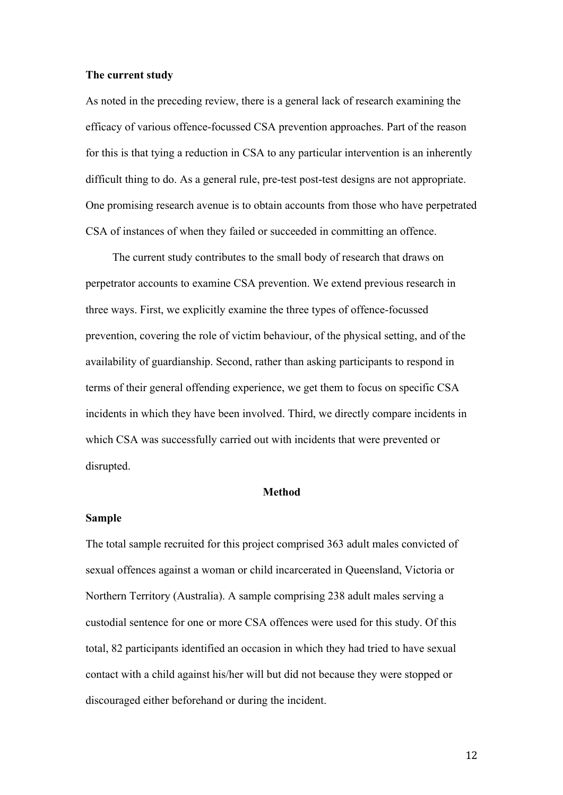#### **The current study**

As noted in the preceding review, there is a general lack of research examining the efficacy of various offence-focussed CSA prevention approaches. Part of the reason for this is that tying a reduction in CSA to any particular intervention is an inherently difficult thing to do. As a general rule, pre-test post-test designs are not appropriate. One promising research avenue is to obtain accounts from those who have perpetrated CSA of instances of when they failed or succeeded in committing an offence.

The current study contributes to the small body of research that draws on perpetrator accounts to examine CSA prevention. We extend previous research in three ways. First, we explicitly examine the three types of offence-focussed prevention, covering the role of victim behaviour, of the physical setting, and of the availability of guardianship. Second, rather than asking participants to respond in terms of their general offending experience, we get them to focus on specific CSA incidents in which they have been involved. Third, we directly compare incidents in which CSA was successfully carried out with incidents that were prevented or disrupted.

# **Method**

#### **Sample**

The total sample recruited for this project comprised 363 adult males convicted of sexual offences against a woman or child incarcerated in Queensland, Victoria or Northern Territory (Australia). A sample comprising 238 adult males serving a custodial sentence for one or more CSA offences were used for this study. Of this total, 82 participants identified an occasion in which they had tried to have sexual contact with a child against his/her will but did not because they were stopped or discouraged either beforehand or during the incident.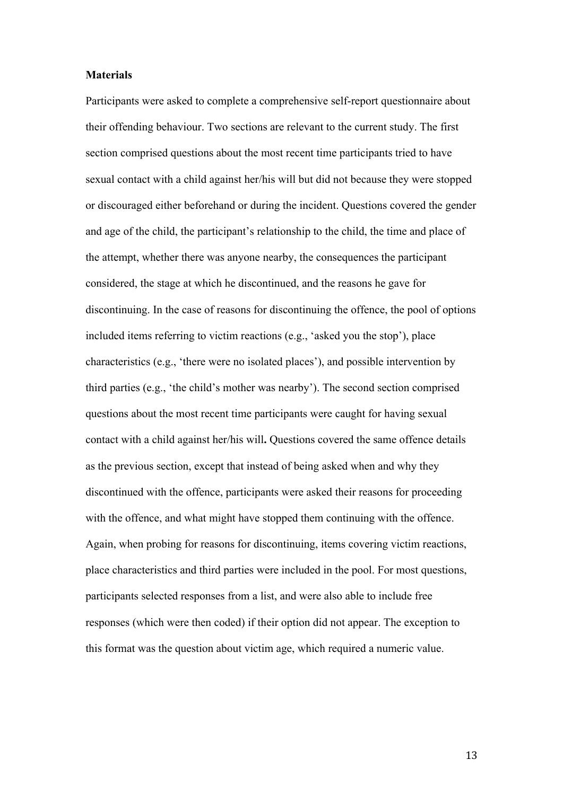#### **Materials**

Participants were asked to complete a comprehensive self-report questionnaire about their offending behaviour. Two sections are relevant to the current study. The first section comprised questions about the most recent time participants tried to have sexual contact with a child against her/his will but did not because they were stopped or discouraged either beforehand or during the incident. Questions covered the gender and age of the child, the participant's relationship to the child, the time and place of the attempt, whether there was anyone nearby, the consequences the participant considered, the stage at which he discontinued, and the reasons he gave for discontinuing. In the case of reasons for discontinuing the offence, the pool of options included items referring to victim reactions (e.g., 'asked you the stop'), place characteristics (e.g., 'there were no isolated places'), and possible intervention by third parties (e.g., 'the child's mother was nearby'). The second section comprised questions about the most recent time participants were caught for having sexual contact with a child against her/his will**.** Questions covered the same offence details as the previous section, except that instead of being asked when and why they discontinued with the offence, participants were asked their reasons for proceeding with the offence, and what might have stopped them continuing with the offence. Again, when probing for reasons for discontinuing, items covering victim reactions, place characteristics and third parties were included in the pool. For most questions, participants selected responses from a list, and were also able to include free responses (which were then coded) if their option did not appear. The exception to this format was the question about victim age, which required a numeric value.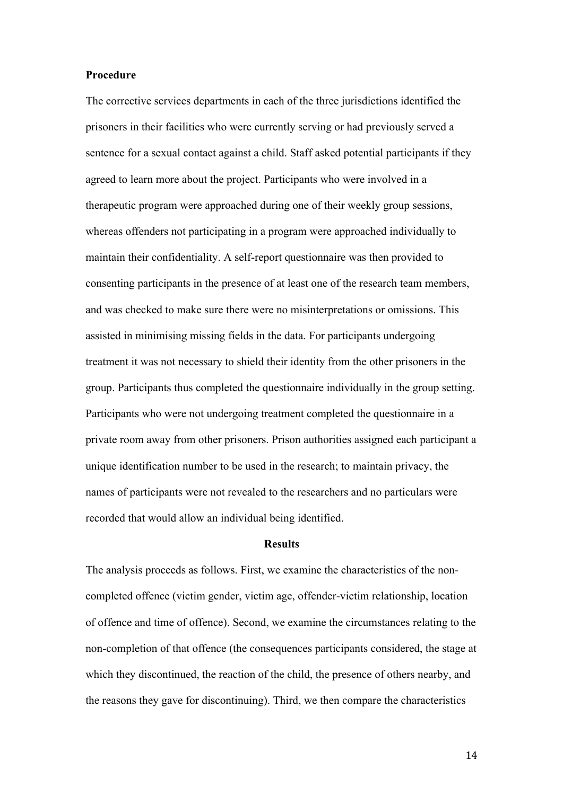#### **Procedure**

The corrective services departments in each of the three jurisdictions identified the prisoners in their facilities who were currently serving or had previously served a sentence for a sexual contact against a child. Staff asked potential participants if they agreed to learn more about the project. Participants who were involved in a therapeutic program were approached during one of their weekly group sessions, whereas offenders not participating in a program were approached individually to maintain their confidentiality. A self-report questionnaire was then provided to consenting participants in the presence of at least one of the research team members, and was checked to make sure there were no misinterpretations or omissions. This assisted in minimising missing fields in the data. For participants undergoing treatment it was not necessary to shield their identity from the other prisoners in the group. Participants thus completed the questionnaire individually in the group setting. Participants who were not undergoing treatment completed the questionnaire in a private room away from other prisoners. Prison authorities assigned each participant a unique identification number to be used in the research; to maintain privacy, the names of participants were not revealed to the researchers and no particulars were recorded that would allow an individual being identified.

## **Results**

The analysis proceeds as follows. First, we examine the characteristics of the noncompleted offence (victim gender, victim age, offender-victim relationship, location of offence and time of offence). Second, we examine the circumstances relating to the non-completion of that offence (the consequences participants considered, the stage at which they discontinued, the reaction of the child, the presence of others nearby, and the reasons they gave for discontinuing). Third, we then compare the characteristics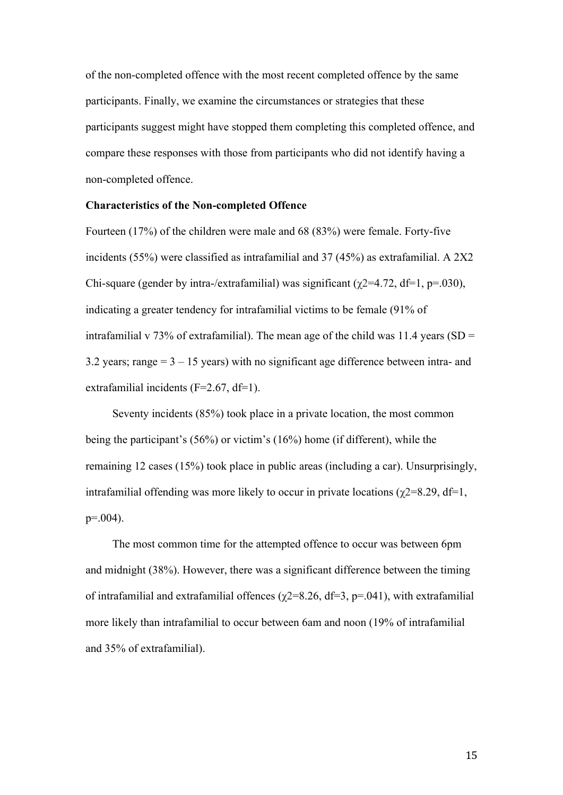of the non-completed offence with the most recent completed offence by the same participants. Finally, we examine the circumstances or strategies that these participants suggest might have stopped them completing this completed offence, and compare these responses with those from participants who did not identify having a non-completed offence.

#### **Characteristics of the Non-completed Offence**

Fourteen (17%) of the children were male and 68 (83%) were female. Forty-five incidents (55%) were classified as intrafamilial and 37 (45%) as extrafamilial. A 2X2 Chi-square (gender by intra-/extrafamilial) was significant ( $\gamma$ 2=4.72, df=1, p=.030), indicating a greater tendency for intrafamilial victims to be female (91% of intrafamilial v 73% of extrafamilial). The mean age of the child was 11.4 years (SD = 3.2 years; range  $= 3 - 15$  years) with no significant age difference between intra- and extrafamilial incidents (F=2.67, df=1).

Seventy incidents (85%) took place in a private location, the most common being the participant's (56%) or victim's (16%) home (if different), while the remaining 12 cases (15%) took place in public areas (including a car). Unsurprisingly, intrafamilial offending was more likely to occur in private locations ( $\gamma$ 2=8.29, df=1,  $p=.004$ ).

The most common time for the attempted offence to occur was between 6pm and midnight (38%). However, there was a significant difference between the timing of intrafamilial and extrafamilial offences ( $\chi$ 2=8.26, df=3, p=.041), with extrafamilial more likely than intrafamilial to occur between 6am and noon (19% of intrafamilial and 35% of extrafamilial).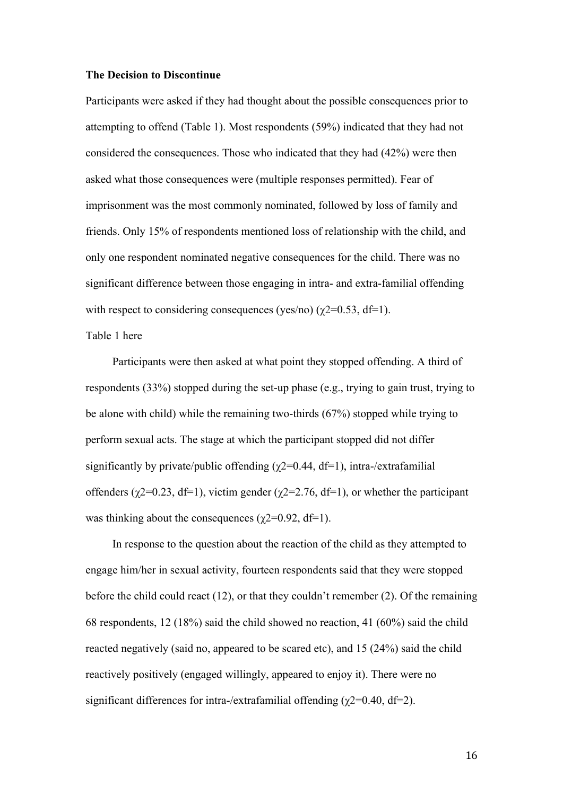#### **The Decision to Discontinue**

Participants were asked if they had thought about the possible consequences prior to attempting to offend (Table 1). Most respondents (59%) indicated that they had not considered the consequences. Those who indicated that they had (42%) were then asked what those consequences were (multiple responses permitted). Fear of imprisonment was the most commonly nominated, followed by loss of family and friends. Only 15% of respondents mentioned loss of relationship with the child, and only one respondent nominated negative consequences for the child. There was no significant difference between those engaging in intra- and extra-familial offending with respect to considering consequences (yes/no) ( $\gamma$ 2=0.53, df=1).

# Table 1 here

Participants were then asked at what point they stopped offending. A third of respondents (33%) stopped during the set-up phase (e.g., trying to gain trust, trying to be alone with child) while the remaining two-thirds (67%) stopped while trying to perform sexual acts. The stage at which the participant stopped did not differ significantly by private/public offending  $(\gamma$ 2=0.44, df=1), intra-/extrafamilial offenders ( $\chi$ 2=0.23, df=1), victim gender ( $\chi$ 2=2.76, df=1), or whether the participant was thinking about the consequences ( $\chi$ 2=0.92, df=1).

In response to the question about the reaction of the child as they attempted to engage him/her in sexual activity, fourteen respondents said that they were stopped before the child could react  $(12)$ , or that they couldn't remember  $(2)$ . Of the remaining 68 respondents, 12 (18%) said the child showed no reaction, 41 (60%) said the child reacted negatively (said no, appeared to be scared etc), and 15 (24%) said the child reactively positively (engaged willingly, appeared to enjoy it). There were no significant differences for intra-/extrafamilial offending  $(\gamma$ 2=0.40, df=2).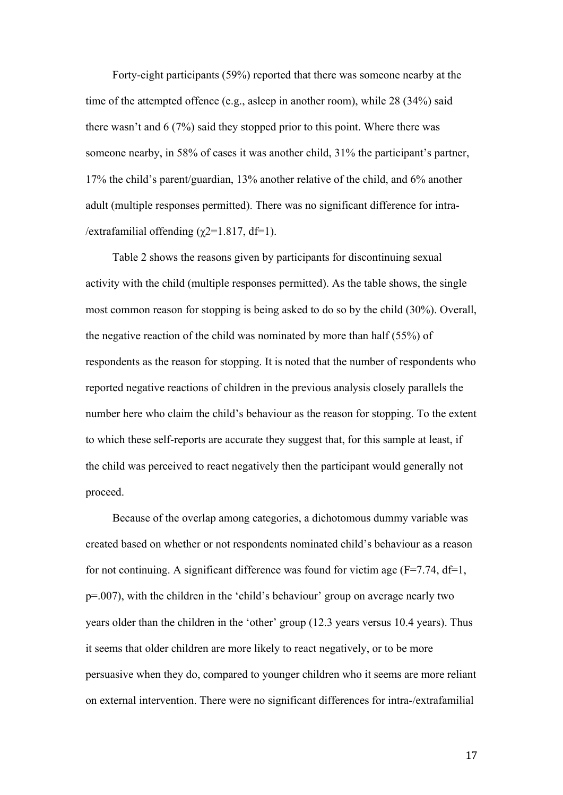Forty-eight participants (59%) reported that there was someone nearby at the time of the attempted offence (e.g., asleep in another room), while 28 (34%) said there wasn't and 6 (7%) said they stopped prior to this point. Where there was someone nearby, in 58% of cases it was another child, 31% the participant's partner, 17% the child's parent/guardian, 13% another relative of the child, and 6% another adult (multiple responses permitted). There was no significant difference for intra- /extrafamilial offending (χ2=1.817, df=1).

Table 2 shows the reasons given by participants for discontinuing sexual activity with the child (multiple responses permitted). As the table shows, the single most common reason for stopping is being asked to do so by the child (30%). Overall, the negative reaction of the child was nominated by more than half (55%) of respondents as the reason for stopping. It is noted that the number of respondents who reported negative reactions of children in the previous analysis closely parallels the number here who claim the child's behaviour as the reason for stopping. To the extent to which these self-reports are accurate they suggest that, for this sample at least, if the child was perceived to react negatively then the participant would generally not proceed.

Because of the overlap among categories, a dichotomous dummy variable was created based on whether or not respondents nominated child's behaviour as a reason for not continuing. A significant difference was found for victim age  $(F=7.74, df=1,$ p=.007), with the children in the 'child's behaviour' group on average nearly two years older than the children in the 'other' group (12.3 years versus 10.4 years). Thus it seems that older children are more likely to react negatively, or to be more persuasive when they do, compared to younger children who it seems are more reliant on external intervention. There were no significant differences for intra-/extrafamilial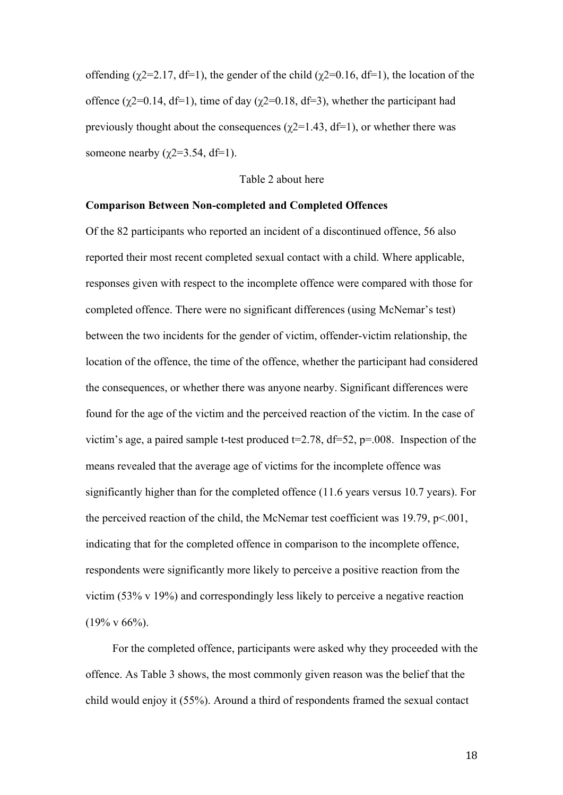offending ( $\chi$ 2=2.17, df=1), the gender of the child ( $\chi$ 2=0.16, df=1), the location of the offence ( $\chi$ 2=0.14, df=1), time of day ( $\chi$ 2=0.18, df=3), whether the participant had previously thought about the consequences ( $\chi$ 2=1.43, df=1), or whether there was someone nearby ( $\chi$ 2=3.54, df=1).

#### Table 2 about here

#### **Comparison Between Non-completed and Completed Offences**

Of the 82 participants who reported an incident of a discontinued offence, 56 also reported their most recent completed sexual contact with a child. Where applicable, responses given with respect to the incomplete offence were compared with those for completed offence. There were no significant differences (using McNemar's test) between the two incidents for the gender of victim, offender-victim relationship, the location of the offence, the time of the offence, whether the participant had considered the consequences, or whether there was anyone nearby. Significant differences were found for the age of the victim and the perceived reaction of the victim. In the case of victim's age, a paired sample t-test produced  $t=2.78$ ,  $df=52$ ,  $p=.008$ . Inspection of the means revealed that the average age of victims for the incomplete offence was significantly higher than for the completed offence (11.6 years versus 10.7 years). For the perceived reaction of the child, the McNemar test coefficient was 19.79, p<.001, indicating that for the completed offence in comparison to the incomplete offence, respondents were significantly more likely to perceive a positive reaction from the victim (53% v 19%) and correspondingly less likely to perceive a negative reaction  $(19\% \text{ v } 66\%).$ 

For the completed offence, participants were asked why they proceeded with the offence. As Table 3 shows, the most commonly given reason was the belief that the child would enjoy it (55%). Around a third of respondents framed the sexual contact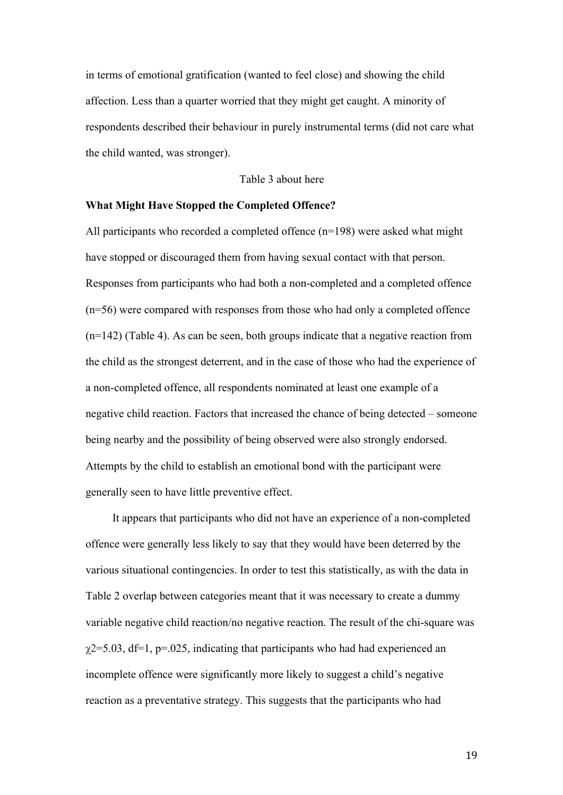in terms of emotional gratification (wanted to feel close) and showing the child affection. Less than a quarter worried that they might get caught. A minority of respondents described their behaviour in purely instrumental terms (did not care what the child wanted, was stronger).

### Table 3 about here

### **What Might Have Stopped the Completed Offence?**

All participants who recorded a completed offence (n=198) were asked what might have stopped or discouraged them from having sexual contact with that person. Responses from participants who had both a non-completed and a completed offence (n=56) were compared with responses from those who had only a completed offence (n=142) (Table 4). As can be seen, both groups indicate that a negative reaction from the child as the strongest deterrent, and in the case of those who had the experience of a non-completed offence, all respondents nominated at least one example of a negative child reaction. Factors that increased the chance of being detected – someone being nearby and the possibility of being observed were also strongly endorsed. Attempts by the child to establish an emotional bond with the participant were generally seen to have little preventive effect.

It appears that participants who did not have an experience of a non-completed offence were generally less likely to say that they would have been deterred by the various situational contingencies. In order to test this statistically, as with the data in Table 2 overlap between categories meant that it was necessary to create a dummy variable negative child reaction/no negative reaction. The result of the chi-square was  $\chi$ 2=5.03, df=1, p=.025, indicating that participants who had had experienced an incomplete offence were significantly more likely to suggest a child's negative reaction as a preventative strategy. This suggests that the participants who had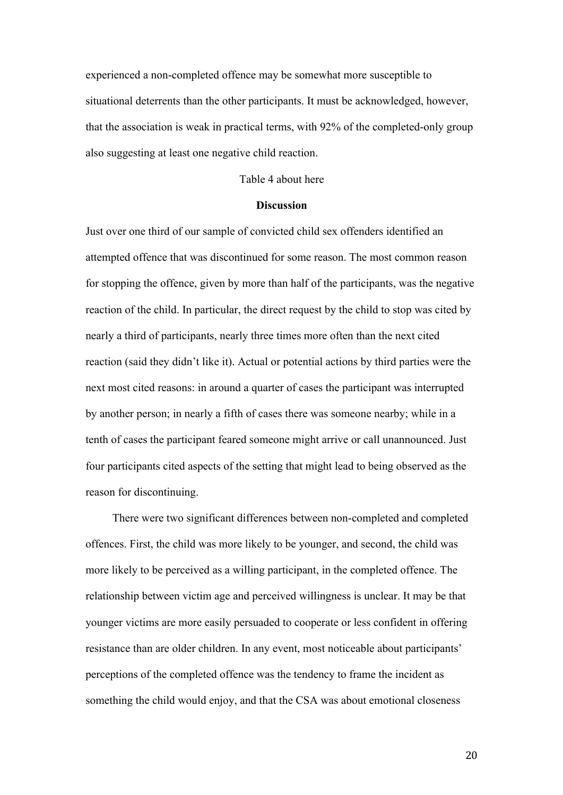experienced a non-completed offence may be somewhat more susceptible to situational deterrents than the other participants. It must be acknowledged, however, that the association is weak in practical terms, with 92% of the completed-only group also suggesting at least one negative child reaction.

#### Table 4 about here

# **Discussion**

Just over one third of our sample of convicted child sex offenders identified an attempted offence that was discontinued for some reason. The most common reason for stopping the offence, given by more than half of the participants, was the negative reaction of the child. In particular, the direct request by the child to stop was cited by nearly a third of participants, nearly three times more often than the next cited reaction (said they didn't like it). Actual or potential actions by third parties were the next most cited reasons: in around a quarter of cases the participant was interrupted by another person; in nearly a fifth of cases there was someone nearby; while in a tenth of cases the participant feared someone might arrive or call unannounced. Just four participants cited aspects of the setting that might lead to being observed as the reason for discontinuing.

There were two significant differences between non-completed and completed offences. First, the child was more likely to be younger, and second, the child was more likely to be perceived as a willing participant, in the completed offence. The relationship between victim age and perceived willingness is unclear. It may be that younger victims are more easily persuaded to cooperate or less confident in offering resistance than are older children. In any event, most noticeable about participants' perceptions of the completed offence was the tendency to frame the incident as something the child would enjoy, and that the CSA was about emotional closeness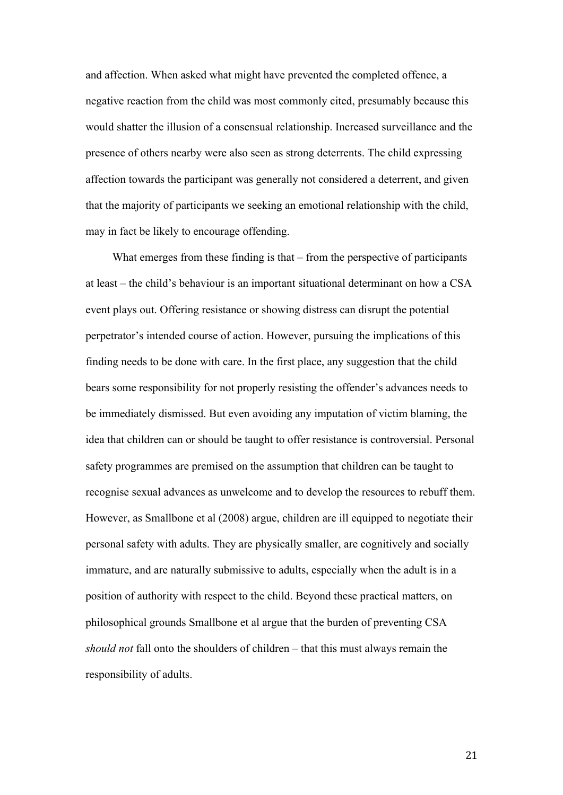and affection. When asked what might have prevented the completed offence, a negative reaction from the child was most commonly cited, presumably because this would shatter the illusion of a consensual relationship. Increased surveillance and the presence of others nearby were also seen as strong deterrents. The child expressing affection towards the participant was generally not considered a deterrent, and given that the majority of participants we seeking an emotional relationship with the child, may in fact be likely to encourage offending.

What emerges from these finding is that – from the perspective of participants at least – the child's behaviour is an important situational determinant on how a CSA event plays out. Offering resistance or showing distress can disrupt the potential perpetrator's intended course of action. However, pursuing the implications of this finding needs to be done with care. In the first place, any suggestion that the child bears some responsibility for not properly resisting the offender's advances needs to be immediately dismissed. But even avoiding any imputation of victim blaming, the idea that children can or should be taught to offer resistance is controversial. Personal safety programmes are premised on the assumption that children can be taught to recognise sexual advances as unwelcome and to develop the resources to rebuff them. However, as Smallbone et al (2008) argue, children are ill equipped to negotiate their personal safety with adults. They are physically smaller, are cognitively and socially immature, and are naturally submissive to adults, especially when the adult is in a position of authority with respect to the child. Beyond these practical matters, on philosophical grounds Smallbone et al argue that the burden of preventing CSA *should not* fall onto the shoulders of children – that this must always remain the responsibility of adults.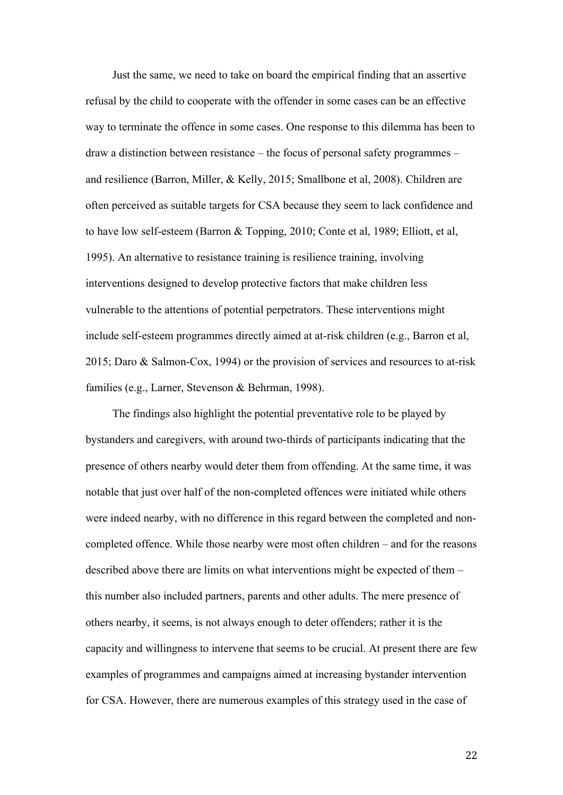Just the same, we need to take on board the empirical finding that an assertive refusal by the child to cooperate with the offender in some cases can be an effective way to terminate the offence in some cases. One response to this dilemma has been to draw a distinction between resistance – the focus of personal safety programmes – and resilience (Barron, Miller, & Kelly, 2015; Smallbone et al, 2008). Children are often perceived as suitable targets for CSA because they seem to lack confidence and to have low self-esteem (Barron & Topping, 2010; Conte et al, 1989; Elliott, et al, 1995). An alternative to resistance training is resilience training, involving interventions designed to develop protective factors that make children less vulnerable to the attentions of potential perpetrators. These interventions might include self-esteem programmes directly aimed at at-risk children (e.g., Barron et al, 2015; Daro & Salmon-Cox, 1994) or the provision of services and resources to at-risk families (e.g., Larner, Stevenson & Behrman, 1998).

The findings also highlight the potential preventative role to be played by bystanders and caregivers, with around two-thirds of participants indicating that the presence of others nearby would deter them from offending. At the same time, it was notable that just over half of the non-completed offences were initiated while others were indeed nearby, with no difference in this regard between the completed and noncompleted offence. While those nearby were most often children – and for the reasons described above there are limits on what interventions might be expected of them – this number also included partners, parents and other adults. The mere presence of others nearby, it seems, is not always enough to deter offenders; rather it is the capacity and willingness to intervene that seems to be crucial. At present there are few examples of programmes and campaigns aimed at increasing bystander intervention for CSA. However, there are numerous examples of this strategy used in the case of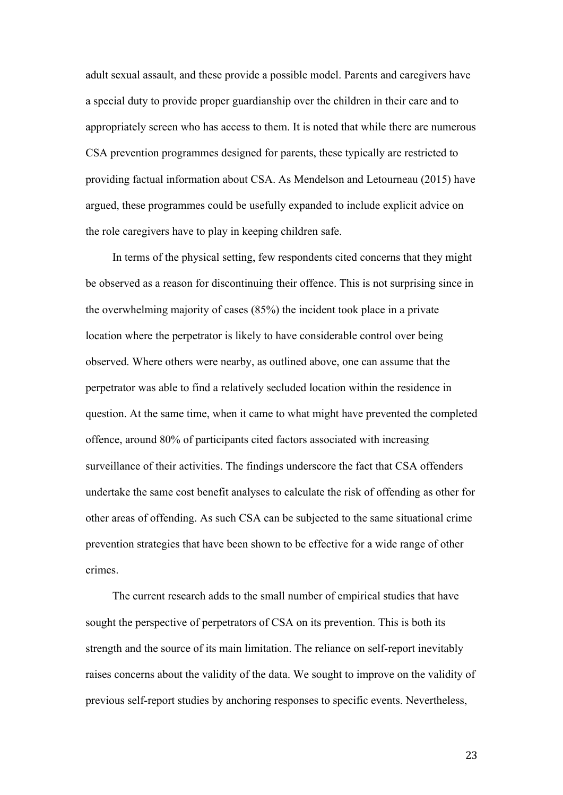adult sexual assault, and these provide a possible model. Parents and caregivers have a special duty to provide proper guardianship over the children in their care and to appropriately screen who has access to them. It is noted that while there are numerous CSA prevention programmes designed for parents, these typically are restricted to providing factual information about CSA. As Mendelson and Letourneau (2015) have argued, these programmes could be usefully expanded to include explicit advice on the role caregivers have to play in keeping children safe.

In terms of the physical setting, few respondents cited concerns that they might be observed as a reason for discontinuing their offence. This is not surprising since in the overwhelming majority of cases (85%) the incident took place in a private location where the perpetrator is likely to have considerable control over being observed. Where others were nearby, as outlined above, one can assume that the perpetrator was able to find a relatively secluded location within the residence in question. At the same time, when it came to what might have prevented the completed offence, around 80% of participants cited factors associated with increasing surveillance of their activities. The findings underscore the fact that CSA offenders undertake the same cost benefit analyses to calculate the risk of offending as other for other areas of offending. As such CSA can be subjected to the same situational crime prevention strategies that have been shown to be effective for a wide range of other crimes.

The current research adds to the small number of empirical studies that have sought the perspective of perpetrators of CSA on its prevention. This is both its strength and the source of its main limitation. The reliance on self-report inevitably raises concerns about the validity of the data. We sought to improve on the validity of previous self-report studies by anchoring responses to specific events. Nevertheless,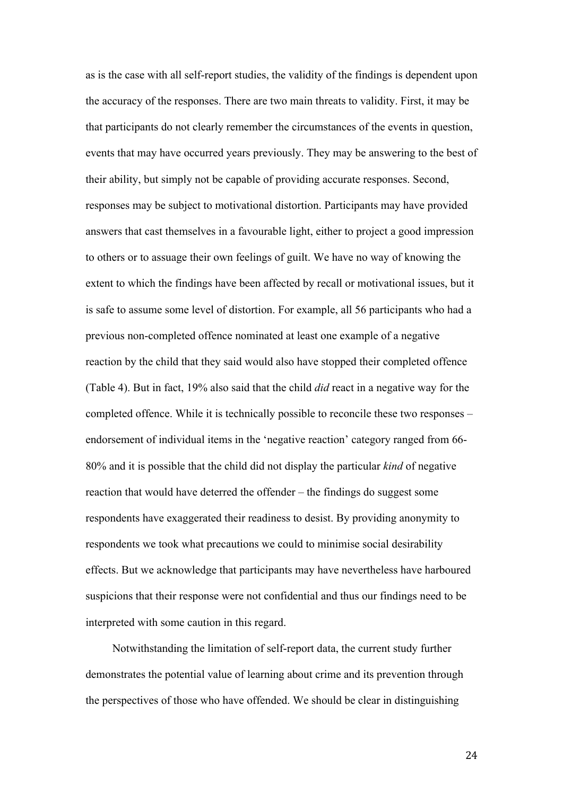as is the case with all self-report studies, the validity of the findings is dependent upon the accuracy of the responses. There are two main threats to validity. First, it may be that participants do not clearly remember the circumstances of the events in question, events that may have occurred years previously. They may be answering to the best of their ability, but simply not be capable of providing accurate responses. Second, responses may be subject to motivational distortion. Participants may have provided answers that cast themselves in a favourable light, either to project a good impression to others or to assuage their own feelings of guilt. We have no way of knowing the extent to which the findings have been affected by recall or motivational issues, but it is safe to assume some level of distortion. For example, all 56 participants who had a previous non-completed offence nominated at least one example of a negative reaction by the child that they said would also have stopped their completed offence (Table 4). But in fact, 19% also said that the child *did* react in a negative way for the completed offence. While it is technically possible to reconcile these two responses – endorsement of individual items in the 'negative reaction' category ranged from 66- 80% and it is possible that the child did not display the particular *kind* of negative reaction that would have deterred the offender – the findings do suggest some respondents have exaggerated their readiness to desist. By providing anonymity to respondents we took what precautions we could to minimise social desirability effects. But we acknowledge that participants may have nevertheless have harboured suspicions that their response were not confidential and thus our findings need to be interpreted with some caution in this regard.

Notwithstanding the limitation of self-report data, the current study further demonstrates the potential value of learning about crime and its prevention through the perspectives of those who have offended. We should be clear in distinguishing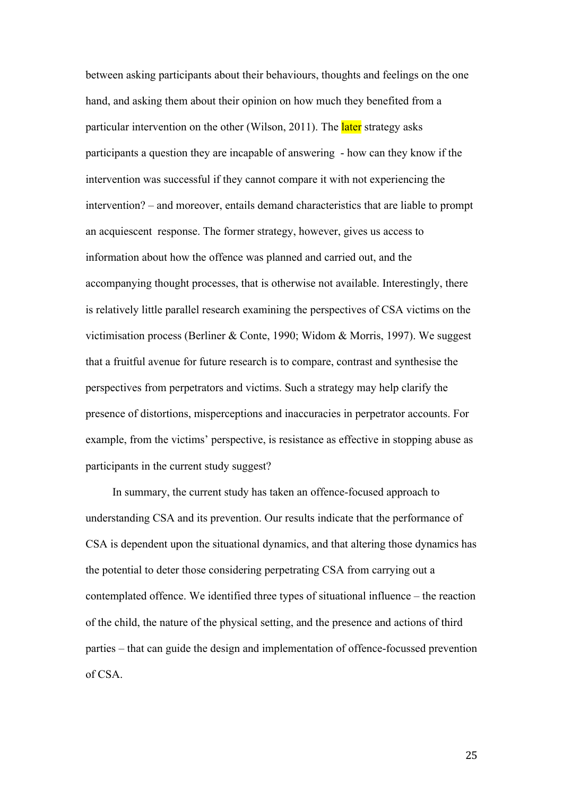between asking participants about their behaviours, thoughts and feelings on the one hand, and asking them about their opinion on how much they benefited from a particular intervention on the other (Wilson, 2011). The later strategy asks participants a question they are incapable of answering - how can they know if the intervention was successful if they cannot compare it with not experiencing the intervention? – and moreover, entails demand characteristics that are liable to prompt an acquiescent response. The former strategy, however, gives us access to information about how the offence was planned and carried out, and the accompanying thought processes, that is otherwise not available. Interestingly, there is relatively little parallel research examining the perspectives of CSA victims on the victimisation process (Berliner & Conte, 1990; Widom & Morris, 1997). We suggest that a fruitful avenue for future research is to compare, contrast and synthesise the perspectives from perpetrators and victims. Such a strategy may help clarify the presence of distortions, misperceptions and inaccuracies in perpetrator accounts. For example, from the victims' perspective, is resistance as effective in stopping abuse as participants in the current study suggest?

In summary, the current study has taken an offence-focused approach to understanding CSA and its prevention. Our results indicate that the performance of CSA is dependent upon the situational dynamics, and that altering those dynamics has the potential to deter those considering perpetrating CSA from carrying out a contemplated offence. We identified three types of situational influence – the reaction of the child, the nature of the physical setting, and the presence and actions of third parties – that can guide the design and implementation of offence-focussed prevention of CSA.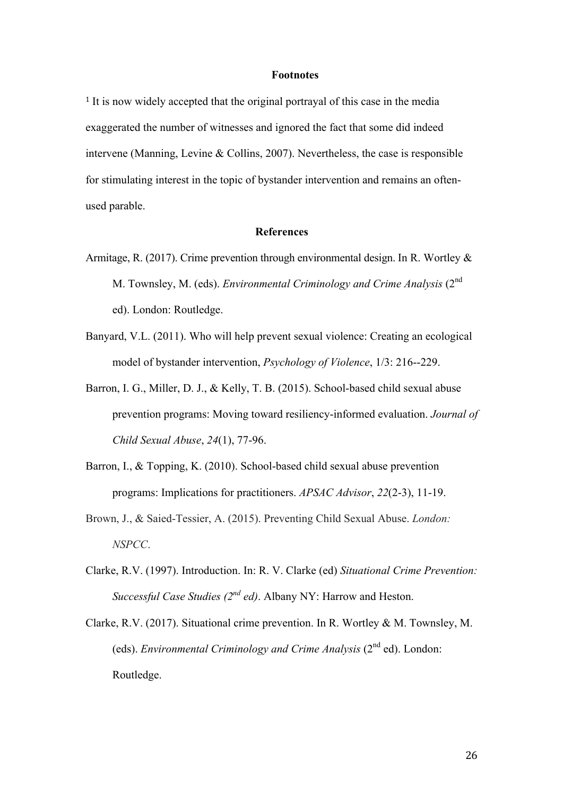#### **Footnotes**

<sup>1</sup> It is now widely accepted that the original portrayal of this case in the media exaggerated the number of witnesses and ignored the fact that some did indeed intervene (Manning, Levine & Collins, 2007). Nevertheless, the case is responsible for stimulating interest in the topic of bystander intervention and remains an oftenused parable. 

## **References**

- Armitage, R. (2017). Crime prevention through environmental design. In R. Wortley & M. Townsley, M. (eds). *Environmental Criminology and Crime Analysis* (2<sup>nd</sup>) ed). London: Routledge.
- Banyard, V.L. (2011). Who will help prevent sexual violence: Creating an ecological model of bystander intervention, *Psychology of Violence*, 1/3: 216--229.
- Barron, I. G., Miller, D. J., & Kelly, T. B. (2015). School-based child sexual abuse prevention programs: Moving toward resiliency-informed evaluation. *Journal of Child Sexual Abuse*, *24*(1), 77-96.
- Barron, I., & Topping, K. (2010). School-based child sexual abuse prevention programs: Implications for practitioners. *APSAC Advisor*, *22*(2-3), 11-19.
- Brown, J., & Saied-Tessier, A. (2015). Preventing Child Sexual Abuse. *London: NSPCC*.
- Clarke, R.V. (1997). Introduction. In: R. V. Clarke (ed) *Situational Crime Prevention: Successful Case Studies (2nd ed)*. Albany NY: Harrow and Heston.
- Clarke, R.V. (2017). Situational crime prevention. In R. Wortley & M. Townsley, M. (eds). *Environmental Criminology and Crime Analysis* (2<sup>nd</sup> ed). London: Routledge.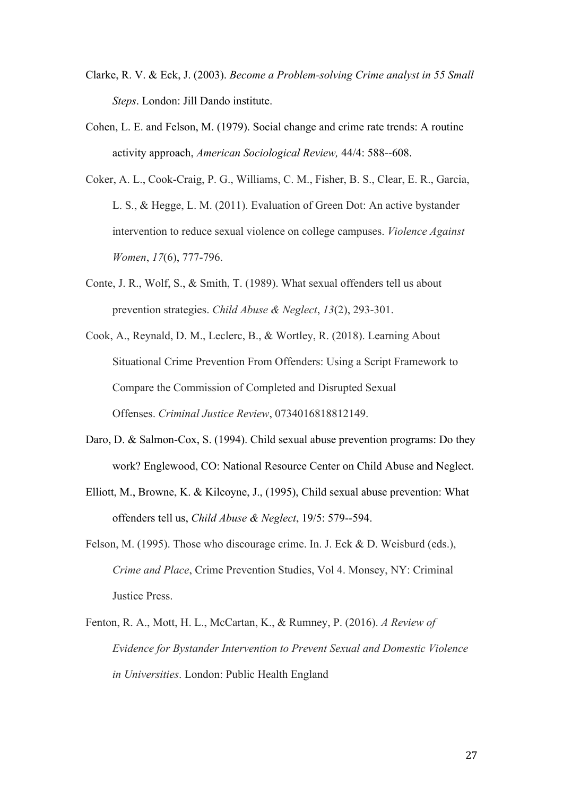- Clarke, R. V. & Eck, J. (2003). *Become a Problem-solving Crime analyst in 55 Small Steps*. London: Jill Dando institute.
- Cohen, L. E. and Felson, M. (1979). Social change and crime rate trends: A routine activity approach, *American Sociological Review,* 44/4: 588--608.
- Coker, A. L., Cook-Craig, P. G., Williams, C. M., Fisher, B. S., Clear, E. R., Garcia, L. S., & Hegge, L. M. (2011). Evaluation of Green Dot: An active bystander intervention to reduce sexual violence on college campuses. *Violence Against Women*, *17*(6), 777-796.
- Conte, J. R., Wolf, S., & Smith, T. (1989). What sexual offenders tell us about prevention strategies. *Child Abuse & Neglect*, *13*(2), 293-301.
- Cook, A., Reynald, D. M., Leclerc, B., & Wortley, R. (2018). Learning About Situational Crime Prevention From Offenders: Using a Script Framework to Compare the Commission of Completed and Disrupted Sexual Offenses. *Criminal Justice Review*, 0734016818812149.
- Daro, D. & Salmon-Cox, S. (1994). Child sexual abuse prevention programs: Do they work? Englewood, CO: National Resource Center on Child Abuse and Neglect.
- Elliott, M., Browne, K. & Kilcoyne, J., (1995), Child sexual abuse prevention: What offenders tell us, *Child Abuse & Neglect*, 19/5: 579--594.
- Felson, M. (1995). Those who discourage crime. In. J. Eck & D. Weisburd (eds.), *Crime and Place*, Crime Prevention Studies, Vol 4. Monsey, NY: Criminal Justice Press.
- Fenton, R. A., Mott, H. L., McCartan, K., & Rumney, P. (2016). *A Review of Evidence for Bystander Intervention to Prevent Sexual and Domestic Violence in Universities*. London: Public Health England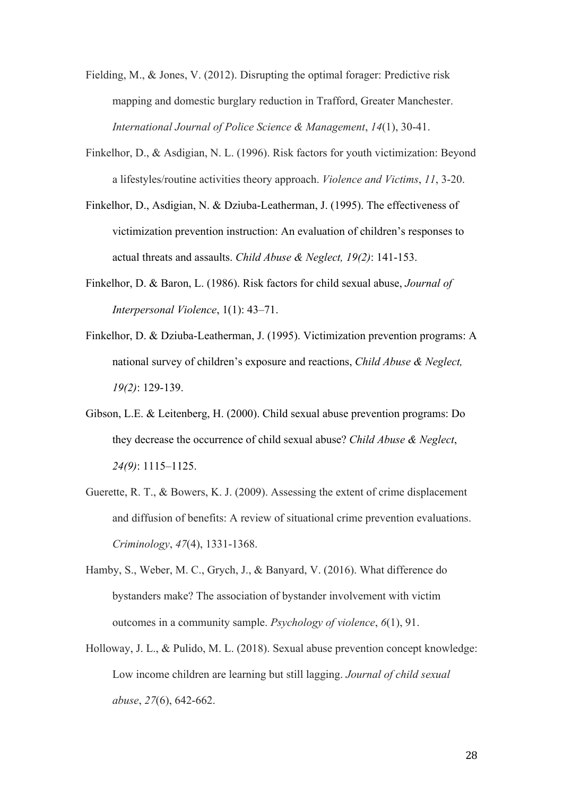- Fielding, M., & Jones, V. (2012). Disrupting the optimal forager: Predictive risk mapping and domestic burglary reduction in Trafford, Greater Manchester. *International Journal of Police Science & Management*, *14*(1), 30-41.
- Finkelhor, D., & Asdigian, N. L. (1996). Risk factors for youth victimization: Beyond a lifestyles/routine activities theory approach. *Violence and Victims*, *11*, 3-20.
- Finkelhor, D., Asdigian, N. & Dziuba-Leatherman, J. (1995). The effectiveness of victimization prevention instruction: An evaluation of children's responses to actual threats and assaults. *Child Abuse & Neglect, 19(2)*: 141-153.
- Finkelhor, D. & Baron, L. (1986). Risk factors for child sexual abuse, *Journal of Interpersonal Violence*, 1(1): 43–71.
- Finkelhor, D. & Dziuba-Leatherman, J. (1995). Victimization prevention programs: A national survey of children's exposure and reactions, *Child Abuse & Neglect, 19(2)*: 129-139.
- Gibson, L.E. & Leitenberg, H. (2000). Child sexual abuse prevention programs: Do they decrease the occurrence of child sexual abuse? *Child Abuse & Neglect*, *24(9)*: 1115–1125.
- Guerette, R. T., & Bowers, K. J. (2009). Assessing the extent of crime displacement and diffusion of benefits: A review of situational crime prevention evaluations. *Criminology*, *47*(4), 1331-1368.
- Hamby, S., Weber, M. C., Grych, J., & Banyard, V. (2016). What difference do bystanders make? The association of bystander involvement with victim outcomes in a community sample. *Psychology of violence*, *6*(1), 91.
- Holloway, J. L., & Pulido, M. L. (2018). Sexual abuse prevention concept knowledge: Low income children are learning but still lagging. *Journal of child sexual abuse*, *27*(6), 642-662.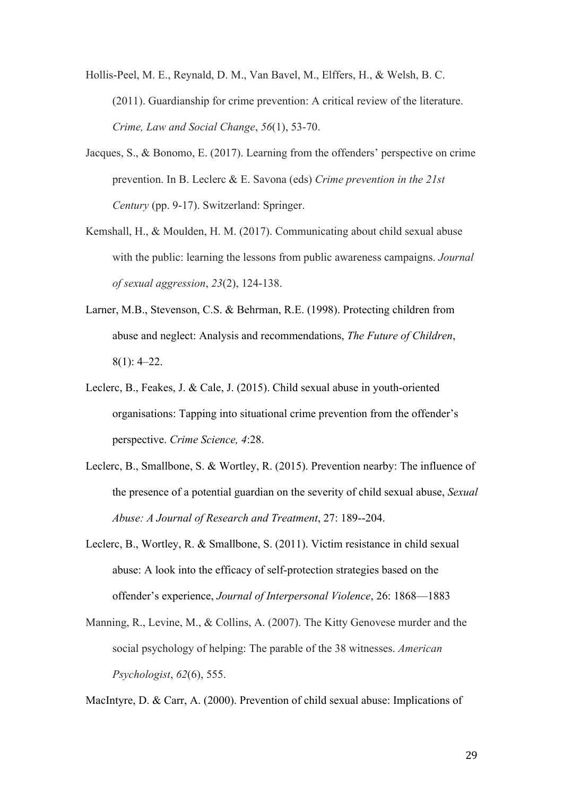Hollis-Peel, M. E., Reynald, D. M., Van Bavel, M., Elffers, H., & Welsh, B. C. (2011). Guardianship for crime prevention: A critical review of the literature. *Crime, Law and Social Change*, *56*(1), 53-70.

- Jacques, S., & Bonomo, E. (2017). Learning from the offenders' perspective on crime prevention. In B. Leclerc & E. Savona (eds) *Crime prevention in the 21st Century* (pp. 9-17). Switzerland: Springer.
- Kemshall, H., & Moulden, H. M. (2017). Communicating about child sexual abuse with the public: learning the lessons from public awareness campaigns. *Journal of sexual aggression*, *23*(2), 124-138.
- Larner, M.B., Stevenson, C.S. & Behrman, R.E. (1998). Protecting children from abuse and neglect: Analysis and recommendations, *The Future of Children*,  $8(1): 4-22.$
- Leclerc, B., Feakes, J. & Cale, J. (2015). Child sexual abuse in youth-oriented organisations: Tapping into situational crime prevention from the offender's perspective. *Crime Science, 4*:28.
- Leclerc, B., Smallbone, S. & Wortley, R. (2015). Prevention nearby: The influence of the presence of a potential guardian on the severity of child sexual abuse, *Sexual Abuse: A Journal of Research and Treatment*, 27: 189--204.
- Leclerc, B., Wortley, R. & Smallbone, S. (2011). Victim resistance in child sexual abuse: A look into the efficacy of self-protection strategies based on the offender's experience, *Journal of Interpersonal Violence*, 26: 1868—1883
- Manning, R., Levine, M., & Collins, A. (2007). The Kitty Genovese murder and the social psychology of helping: The parable of the 38 witnesses. *American Psychologist*, *62*(6), 555.

MacIntyre, D. & Carr, A. (2000). Prevention of child sexual abuse: Implications of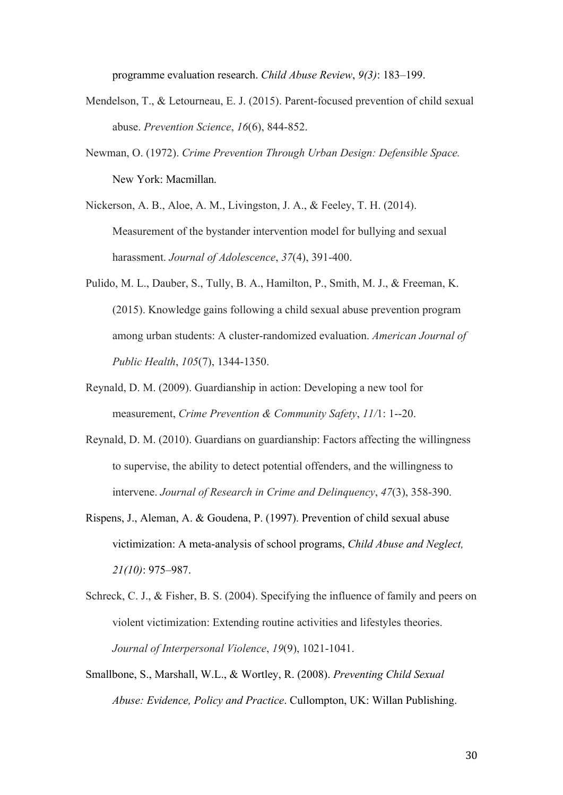programme evaluation research. *Child Abuse Review*, *9(3)*: 183–199.

- Mendelson, T., & Letourneau, E. J. (2015). Parent-focused prevention of child sexual abuse. *Prevention Science*, *16*(6), 844-852.
- Newman, O. (1972). *Crime Prevention Through Urban Design: Defensible Space.* New York: Macmillan.
- Nickerson, A. B., Aloe, A. M., Livingston, J. A., & Feeley, T. H. (2014). Measurement of the bystander intervention model for bullying and sexual harassment. *Journal of Adolescence*, *37*(4), 391-400.
- Pulido, M. L., Dauber, S., Tully, B. A., Hamilton, P., Smith, M. J., & Freeman, K. (2015). Knowledge gains following a child sexual abuse prevention program among urban students: A cluster-randomized evaluation. *American Journal of Public Health*, *105*(7), 1344-1350.
- Reynald, D. M. (2009). Guardianship in action: Developing a new tool for measurement, *Crime Prevention & Community Safety*, *11/*1: 1--20.
- Reynald, D. M. (2010). Guardians on guardianship: Factors affecting the willingness to supervise, the ability to detect potential offenders, and the willingness to intervene. *Journal of Research in Crime and Delinquency*, *47*(3), 358-390.
- Rispens, J., Aleman, A. & Goudena, P. (1997). Prevention of child sexual abuse victimization: A meta-analysis of school programs, *Child Abuse and Neglect, 21(10)*: 975–987.
- Schreck, C. J., & Fisher, B. S. (2004). Specifying the influence of family and peers on violent victimization: Extending routine activities and lifestyles theories. *Journal of Interpersonal Violence*, *19*(9), 1021-1041.
- Smallbone, S., Marshall, W.L., & Wortley, R. (2008). *Preventing Child Sexual Abuse: Evidence, Policy and Practice*. Cullompton, UK: Willan Publishing.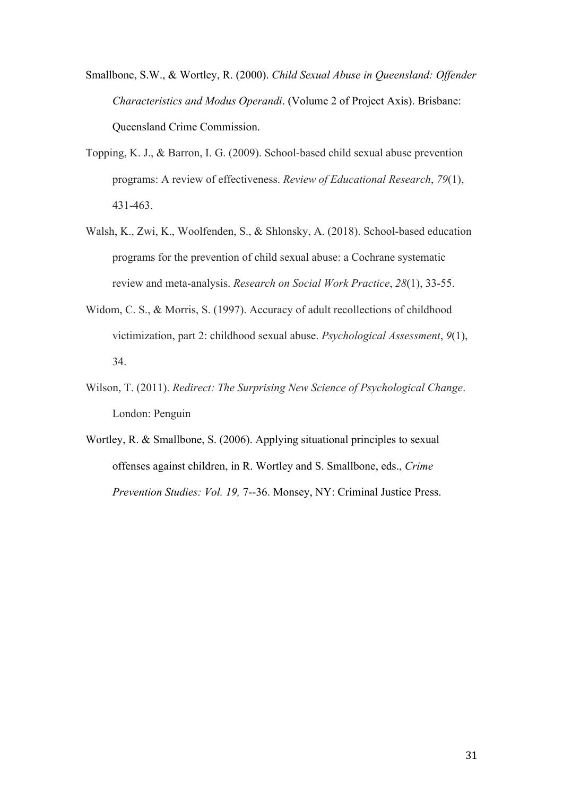- Smallbone, S.W., & Wortley, R. (2000). *Child Sexual Abuse in Queensland: Offender Characteristics and Modus Operandi*. (Volume 2 of Project Axis). Brisbane: Queensland Crime Commission.
- Topping, K. J., & Barron, I. G. (2009). School-based child sexual abuse prevention programs: A review of effectiveness. *Review of Educational Research*, *79*(1), 431-463.
- Walsh, K., Zwi, K., Woolfenden, S., & Shlonsky, A. (2018). School-based education programs for the prevention of child sexual abuse: a Cochrane systematic review and meta-analysis. *Research on Social Work Practice*, *28*(1), 33-55.
- Widom, C. S., & Morris, S. (1997). Accuracy of adult recollections of childhood victimization, part 2: childhood sexual abuse. *Psychological Assessment*, *9*(1), 34.
- Wilson, T. (2011). *Redirect: The Surprising New Science of Psychological Change*. London: Penguin
- Wortley, R. & Smallbone, S. (2006). Applying situational principles to sexual offenses against children, in R. Wortley and S. Smallbone, eds., *Crime Prevention Studies: Vol. 19,* 7--36. Monsey, NY: Criminal Justice Press.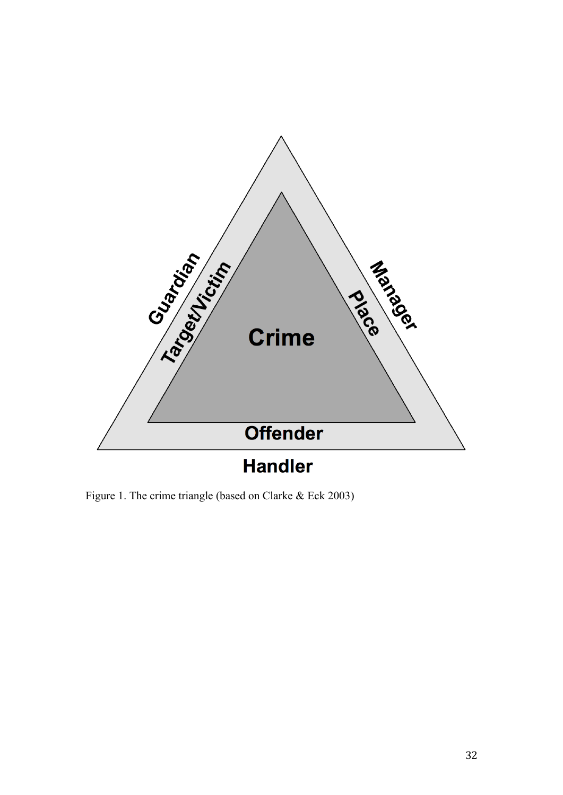

Figure 1. The crime triangle (based on Clarke & Eck 2003)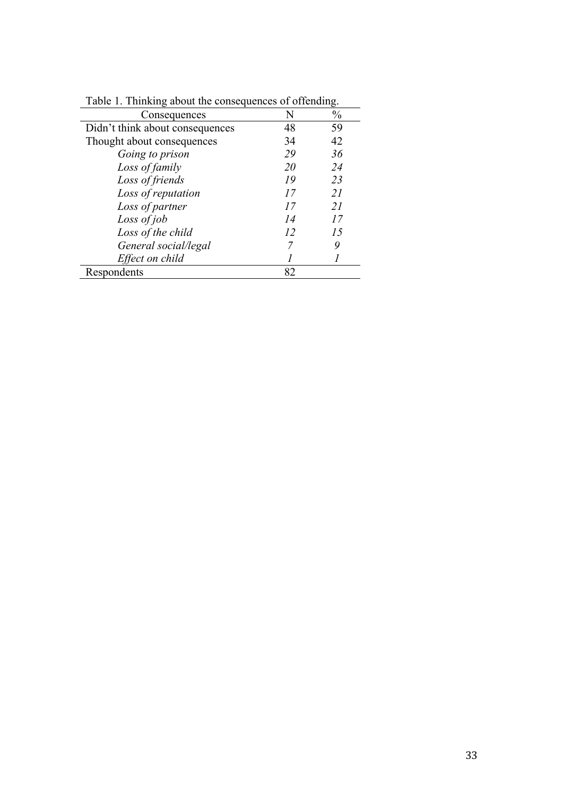| Table 1. Thinking about the consequences of orienting. |    |               |  |
|--------------------------------------------------------|----|---------------|--|
| Consequences                                           | N  | $\frac{0}{0}$ |  |
| Didn't think about consequences                        | 48 | 59            |  |
| Thought about consequences                             | 34 | 42            |  |
| Going to prison                                        | 29 | 36            |  |
| Loss of family                                         | 20 | 24            |  |
| Loss of friends                                        | 19 | 23            |  |
| Loss of reputation                                     | 17 | 21            |  |
| Loss of partner                                        | 17 | 21            |  |
| Loss of job                                            | 14 | 17            |  |
| Loss of the child                                      | 12 | 15            |  |
| General social/legal                                   |    | 9             |  |
| Effect on child                                        |    |               |  |
| Respondents                                            | 82 |               |  |

Table 1. Thinking about the consequences of offending.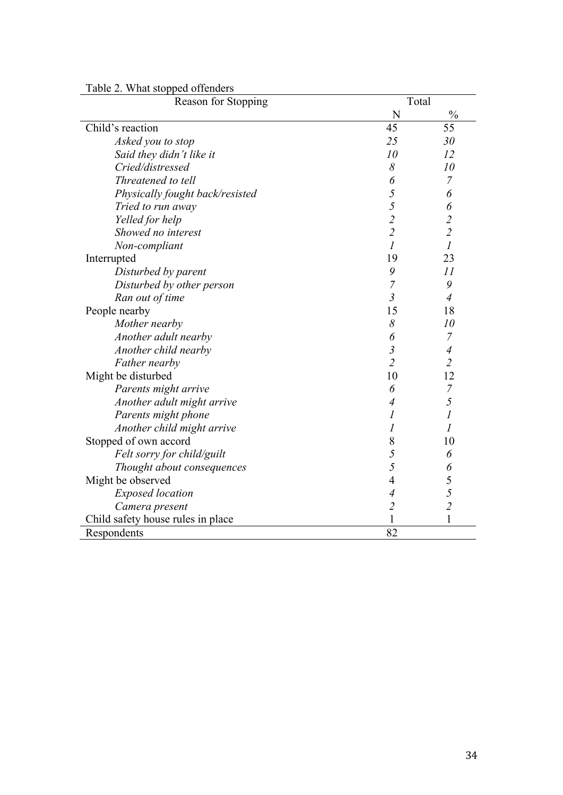| Reason for Stopping               | Total          |                  |
|-----------------------------------|----------------|------------------|
|                                   | N              | $\frac{0}{0}$    |
| Child's reaction                  | 45             | 55               |
| Asked you to stop                 | 25             | 30               |
| Said they didn't like it          | 10             | 12               |
| Cried/distressed                  | 8              | 10               |
| Threatened to tell                | 6              | $\overline{7}$   |
| Physically fought back/resisted   | 5              | 6                |
| Tried to run away                 | 5              | 6                |
| Yelled for help                   | $\overline{c}$ | $\overline{c}$   |
| Showed no interest                | $\overline{2}$ | $\overline{2}$   |
| Non-compliant                     | $\mathfrak l$  | $\mathfrak l$    |
| Interrupted                       | 19             | 23               |
| Disturbed by parent               | 9              | 11               |
| Disturbed by other person         | $\overline{7}$ | 9                |
| Ran out of time                   | $\overline{3}$ | $\overline{4}$   |
| People nearby                     | 15             | 18               |
| Mother nearby                     | 8              | 10               |
| Another adult nearby              | 6              | $\overline{7}$   |
| Another child nearby              | $\mathfrak{Z}$ | $\boldsymbol{4}$ |
| Father nearby                     | $\overline{2}$ | $\overline{2}$   |
| Might be disturbed                | 10             | 12               |
| Parents might arrive              | 6              | $\overline{7}$   |
| Another adult might arrive        | 4              | 5                |
| Parents might phone               | 1              | 1                |
| Another child might arrive        | 1              | 1                |
| Stopped of own accord             | 8              | 10               |
| Felt sorry for child/guilt        | 5              | 6                |
| Thought about consequences        | 5              | 6                |
| Might be observed                 | 4              | 5                |
| <b>Exposed</b> location           | $\overline{A}$ | 5                |
| Camera present                    | $\overline{2}$ | $\overline{2}$   |
| Child safety house rules in place | 1              | 1                |
| Respondents                       | 82             |                  |

# Table 2. What stopped offenders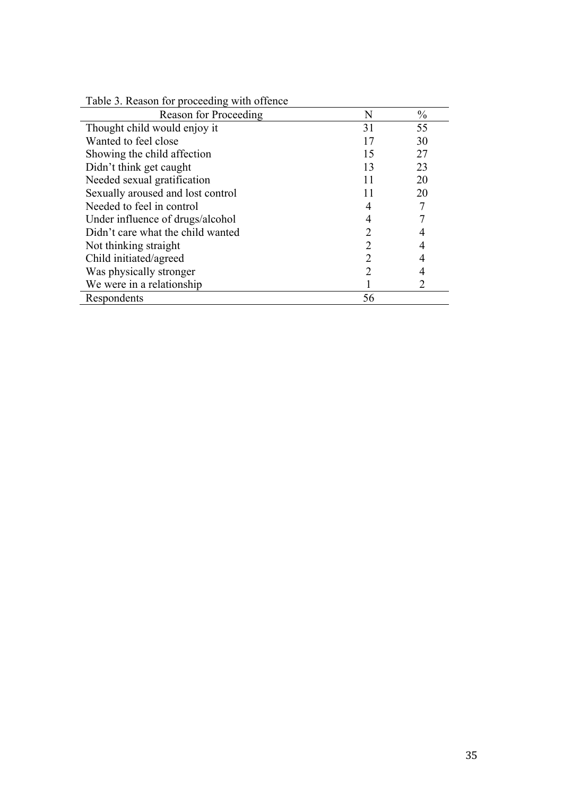| Reason for Proceeding             | N  | $\frac{0}{0}$ |
|-----------------------------------|----|---------------|
| Thought child would enjoy it      | 31 | 55            |
| Wanted to feel close              |    | 30            |
| Showing the child affection       | 15 | 27            |
| Didn't think get caught           | 13 | 23            |
| Needed sexual gratification       |    | 20            |
| Sexually aroused and lost control |    | 20            |
| Needed to feel in control         |    |               |
| Under influence of drugs/alcohol  |    |               |
| Didn't care what the child wanted | 2  |               |
| Not thinking straight             | 2  |               |
| Child initiated/agreed            |    |               |
| Was physically stronger           | 2  |               |
| We were in a relationship         |    |               |
| Respondents                       | 56 |               |

Table 3. Reason for proceeding with offence